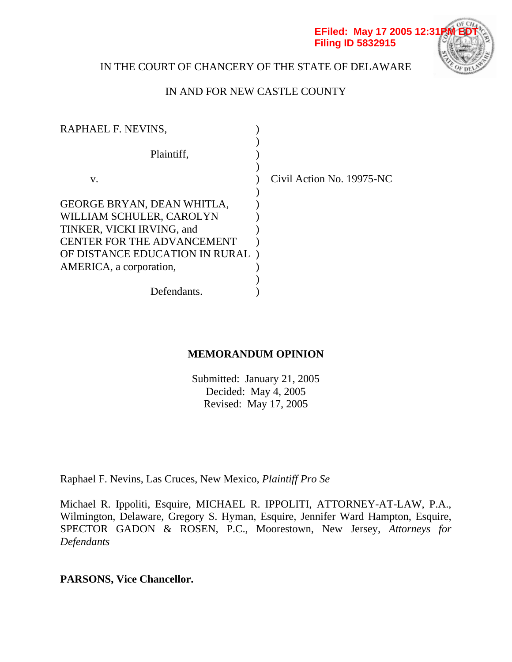#### **EFiled: May 17 2005 12:31 Filing ID 5832915**



# IN THE COURT OF CHANCERY OF THE STATE OF DELAWARE

# IN AND FOR NEW CASTLE COUNTY

| RAPHAEL F. NEVINS,                |                           |
|-----------------------------------|---------------------------|
| Plaintiff,                        |                           |
| V.                                | Civil Action No. 19975-NC |
| GEORGE BRYAN, DEAN WHITLA,        |                           |
| WILLIAM SCHULER, CAROLYN          |                           |
| TINKER, VICKI IRVING, and         |                           |
| <b>CENTER FOR THE ADVANCEMENT</b> |                           |
| OF DISTANCE EDUCATION IN RURAL)   |                           |
| AMERICA, a corporation,           |                           |
|                                   |                           |
| Defendants.                       |                           |
|                                   |                           |

# **MEMORANDUM OPINION**

Submitted: January 21, 2005 Decided: May 4, 2005 Revised: May 17, 2005

Raphael F. Nevins, Las Cruces, New Mexico, *Plaintiff Pro Se* 

Michael R. Ippoliti, Esquire, MICHAEL R. IPPOLITI, ATTORNEY-AT-LAW, P.A., Wilmington, Delaware, Gregory S. Hyman, Esquire, Jennifer Ward Hampton, Esquire, SPECTOR GADON & ROSEN, P.C., Moorestown, New Jersey, *Attorneys for Defendants*

**PARSONS, Vice Chancellor.**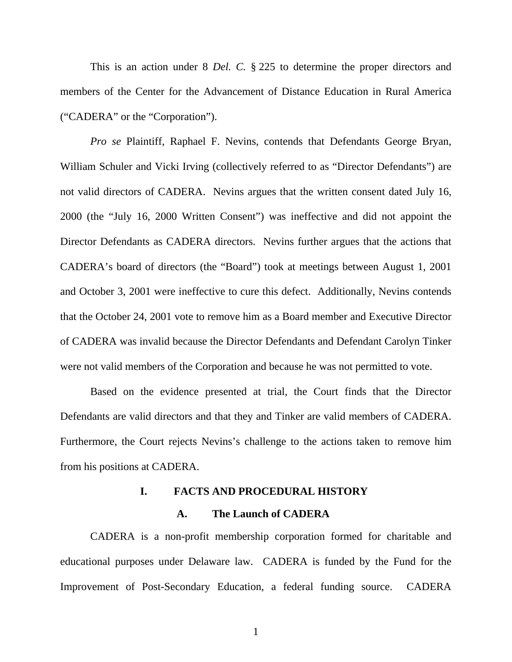This is an action under 8 *Del. C.* § 225 to determine the proper directors and members of the Center for the Advancement of Distance Education in Rural America ("CADERA" or the "Corporation").

*Pro se* Plaintiff, Raphael F. Nevins, contends that Defendants George Bryan, William Schuler and Vicki Irving (collectively referred to as "Director Defendants") are not valid directors of CADERA. Nevins argues that the written consent dated July 16, 2000 (the "July 16, 2000 Written Consent") was ineffective and did not appoint the Director Defendants as CADERA directors. Nevins further argues that the actions that CADERA's board of directors (the "Board") took at meetings between August 1, 2001 and October 3, 2001 were ineffective to cure this defect. Additionally, Nevins contends that the October 24, 2001 vote to remove him as a Board member and Executive Director of CADERA was invalid because the Director Defendants and Defendant Carolyn Tinker were not valid members of the Corporation and because he was not permitted to vote.

Based on the evidence presented at trial, the Court finds that the Director Defendants are valid directors and that they and Tinker are valid members of CADERA. Furthermore, the Court rejects Nevins's challenge to the actions taken to remove him from his positions at CADERA.

#### **I. FACTS AND PROCEDURAL HISTORY**

#### **A. The Launch of CADERA**

CADERA is a non-profit membership corporation formed for charitable and educational purposes under Delaware law. CADERA is funded by the Fund for the Improvement of Post-Secondary Education, a federal funding source. CADERA

1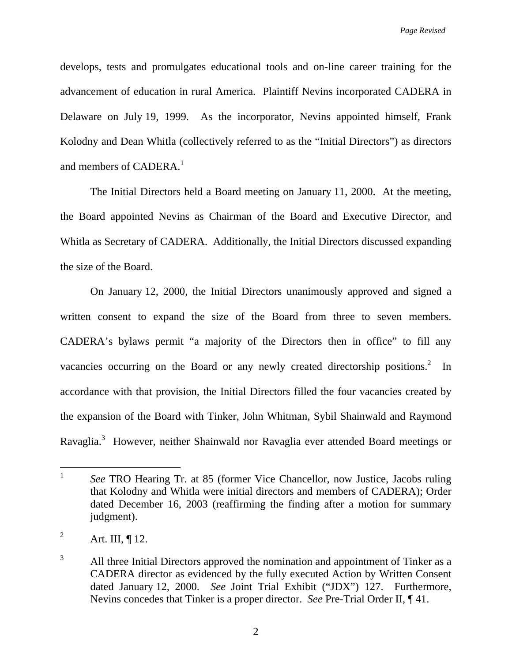develops, tests and promulgates educational tools and on-line career training for the advancement of education in rural America. Plaintiff Nevins incorporated CADERA in Delaware on July 19, 1999. As the incorporator, Nevins appointed himself, Frank Kolodny and Dean Whitla (collectively referred to as the "Initial Directors") as directors and members of CADERA.<sup>1</sup>

The Initial Directors held a Board meeting on January 11, 2000. At the meeting, the Board appointed Nevins as Chairman of the Board and Executive Director, and Whitla as Secretary of CADERA. Additionally, the Initial Directors discussed expanding the size of the Board.

On January 12, 2000, the Initial Directors unanimously approved and signed a written consent to expand the size of the Board from three to seven members. CADERA's bylaws permit "a majority of the Directors then in office" to fill any vacancies occurring on the Board or any newly created directorship positions.<sup>2</sup> In accordance with that provision, the Initial Directors filled the four vacancies created by the expansion of the Board with Tinker, John Whitman, Sybil Shainwald and Raymond Ravaglia.<sup>3</sup> However, neither Shainwald nor Ravaglia ever attended Board meetings or

 $\mathbf{1}$ <sup>1</sup> *See* TRO Hearing Tr. at 85 (former Vice Chancellor, now Justice, Jacobs ruling that Kolodny and Whitla were initial directors and members of CADERA); Order dated December 16, 2003 (reaffirming the finding after a motion for summary judgment).

<sup>2</sup> Art. III, ¶ 12.

<sup>3</sup> All three Initial Directors approved the nomination and appointment of Tinker as a CADERA director as evidenced by the fully executed Action by Written Consent dated January 12, 2000. *See* Joint Trial Exhibit ("JDX") 127. Furthermore, Nevins concedes that Tinker is a proper director. *See* Pre-Trial Order II, ¶ 41.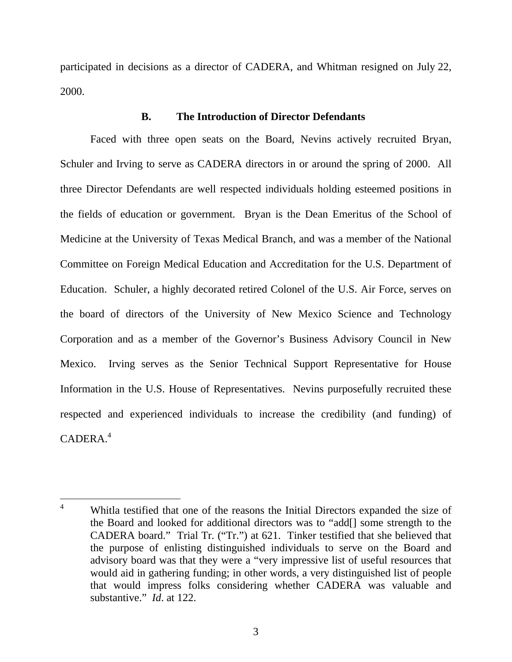participated in decisions as a director of CADERA, and Whitman resigned on July 22, 2000.

# **B. The Introduction of Director Defendants**

Faced with three open seats on the Board, Nevins actively recruited Bryan, Schuler and Irving to serve as CADERA directors in or around the spring of 2000. All three Director Defendants are well respected individuals holding esteemed positions in the fields of education or government. Bryan is the Dean Emeritus of the School of Medicine at the University of Texas Medical Branch, and was a member of the National Committee on Foreign Medical Education and Accreditation for the U.S. Department of Education. Schuler, a highly decorated retired Colonel of the U.S. Air Force, serves on the board of directors of the University of New Mexico Science and Technology Corporation and as a member of the Governor's Business Advisory Council in New Mexico. Irving serves as the Senior Technical Support Representative for House Information in the U.S. House of Representatives. Nevins purposefully recruited these respected and experienced individuals to increase the credibility (and funding) of  $C$ ADERA<sup>4</sup>

 $\overline{a}$ 4 Whitla testified that one of the reasons the Initial Directors expanded the size of the Board and looked for additional directors was to "add[] some strength to the CADERA board." Trial Tr. ("Tr.") at 621. Tinker testified that she believed that the purpose of enlisting distinguished individuals to serve on the Board and advisory board was that they were a "very impressive list of useful resources that would aid in gathering funding; in other words, a very distinguished list of people that would impress folks considering whether CADERA was valuable and substantive." *Id*. at 122.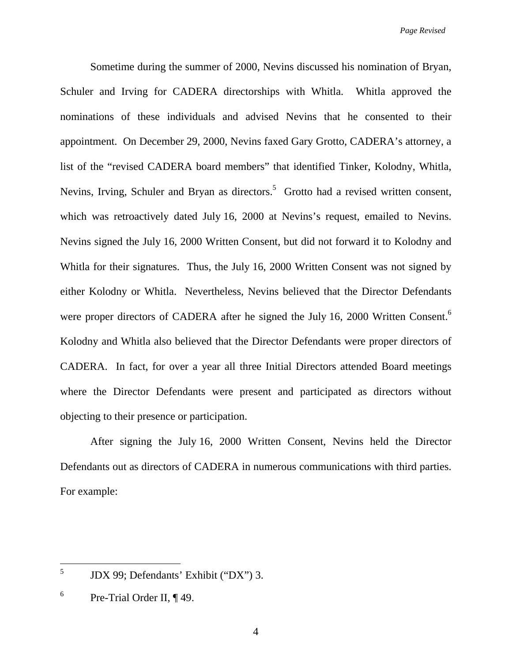*Page Revised* 

Sometime during the summer of 2000, Nevins discussed his nomination of Bryan, Schuler and Irving for CADERA directorships with Whitla. Whitla approved the nominations of these individuals and advised Nevins that he consented to their appointment. On December 29, 2000, Nevins faxed Gary Grotto, CADERA's attorney, a list of the "revised CADERA board members" that identified Tinker, Kolodny, Whitla, Nevins, Irving, Schuler and Bryan as directors.<sup>5</sup> Grotto had a revised written consent, which was retroactively dated July 16, 2000 at Nevins's request, emailed to Nevins. Nevins signed the July 16, 2000 Written Consent, but did not forward it to Kolodny and Whitla for their signatures. Thus, the July 16, 2000 Written Consent was not signed by either Kolodny or Whitla. Nevertheless, Nevins believed that the Director Defendants were proper directors of CADERA after he signed the July 16, 2000 Written Consent.<sup>6</sup> Kolodny and Whitla also believed that the Director Defendants were proper directors of CADERA. In fact, for over a year all three Initial Directors attended Board meetings where the Director Defendants were present and participated as directors without objecting to their presence or participation.

After signing the July 16, 2000 Written Consent, Nevins held the Director Defendants out as directors of CADERA in numerous communications with third parties. For example:

 $\overline{a}$ 

<sup>5</sup> JDX 99; Defendants' Exhibit ("DX") 3.

<sup>6</sup> Pre-Trial Order II, ¶ 49.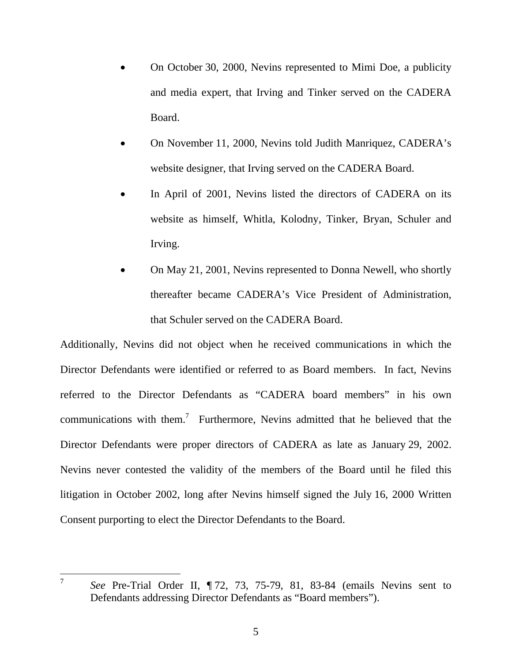- On October 30, 2000, Nevins represented to Mimi Doe, a publicity and media expert, that Irving and Tinker served on the CADERA Board.
- On November 11, 2000, Nevins told Judith Manriquez, CADERA's website designer, that Irving served on the CADERA Board.
- In April of 2001, Nevins listed the directors of CADERA on its website as himself, Whitla, Kolodny, Tinker, Bryan, Schuler and Irving.
- On May 21, 2001, Nevins represented to Donna Newell, who shortly thereafter became CADERA's Vice President of Administration, that Schuler served on the CADERA Board.

Additionally, Nevins did not object when he received communications in which the Director Defendants were identified or referred to as Board members. In fact, Nevins referred to the Director Defendants as "CADERA board members" in his own communications with them.<sup>7</sup> Furthermore, Nevins admitted that he believed that the Director Defendants were proper directors of CADERA as late as January 29, 2002. Nevins never contested the validity of the members of the Board until he filed this litigation in October 2002, long after Nevins himself signed the July 16, 2000 Written Consent purporting to elect the Director Defendants to the Board.

 $\overline{7}$ 

<sup>7</sup> *See* Pre-Trial Order II, ¶ 72, 73, 75-79, 81, 83-84 (emails Nevins sent to Defendants addressing Director Defendants as "Board members").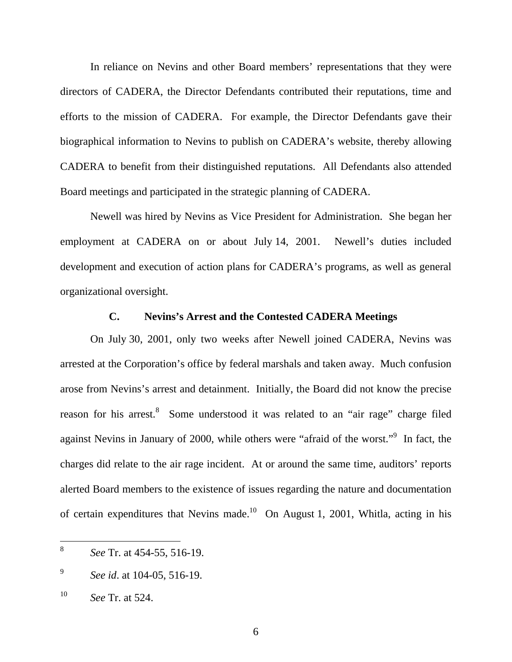In reliance on Nevins and other Board members' representations that they were directors of CADERA, the Director Defendants contributed their reputations, time and efforts to the mission of CADERA. For example, the Director Defendants gave their biographical information to Nevins to publish on CADERA's website, thereby allowing CADERA to benefit from their distinguished reputations. All Defendants also attended Board meetings and participated in the strategic planning of CADERA.

Newell was hired by Nevins as Vice President for Administration. She began her employment at CADERA on or about July 14, 2001. Newell's duties included development and execution of action plans for CADERA's programs, as well as general organizational oversight.

### **C. Nevins's Arrest and the Contested CADERA Meetings**

On July 30, 2001, only two weeks after Newell joined CADERA, Nevins was arrested at the Corporation's office by federal marshals and taken away. Much confusion arose from Nevins's arrest and detainment. Initially, the Board did not know the precise reason for his arrest.<sup>8</sup> Some understood it was related to an "air rage" charge filed against Nevins in January of 2000, while others were "afraid of the worst."<sup>9</sup> In fact, the charges did relate to the air rage incident. At or around the same time, auditors' reports alerted Board members to the existence of issues regarding the nature and documentation of certain expenditures that Nevins made.<sup>10</sup> On August 1, 2001, Whitla, acting in his

<sup>8</sup> <sup>8</sup> *See* Tr. at 454-55, 516-19.

<sup>9</sup> *See id*. at 104-05, 516-19.

<sup>10</sup> *See* Tr. at 524.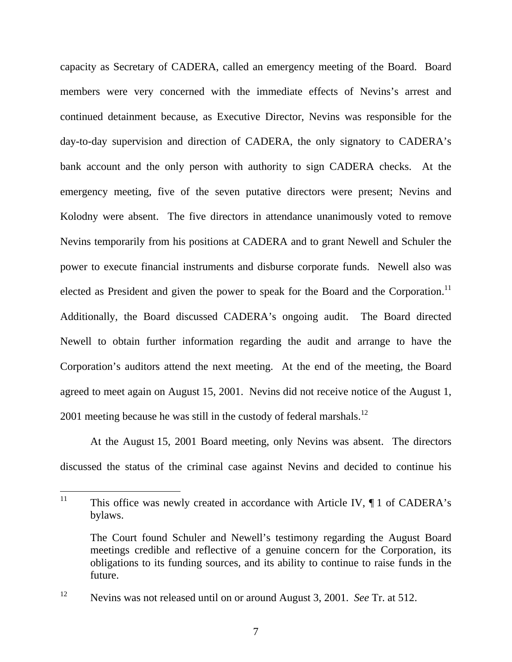capacity as Secretary of CADERA, called an emergency meeting of the Board. Board members were very concerned with the immediate effects of Nevins's arrest and continued detainment because, as Executive Director, Nevins was responsible for the day-to-day supervision and direction of CADERA, the only signatory to CADERA's bank account and the only person with authority to sign CADERA checks. At the emergency meeting, five of the seven putative directors were present; Nevins and Kolodny were absent. The five directors in attendance unanimously voted to remove Nevins temporarily from his positions at CADERA and to grant Newell and Schuler the power to execute financial instruments and disburse corporate funds. Newell also was elected as President and given the power to speak for the Board and the Corporation.<sup>11</sup> Additionally, the Board discussed CADERA's ongoing audit. The Board directed Newell to obtain further information regarding the audit and arrange to have the Corporation's auditors attend the next meeting. At the end of the meeting, the Board agreed to meet again on August 15, 2001. Nevins did not receive notice of the August 1, 2001 meeting because he was still in the custody of federal marshals.<sup>12</sup>

At the August 15, 2001 Board meeting, only Nevins was absent. The directors discussed the status of the criminal case against Nevins and decided to continue his

<sup>11</sup> This office was newly created in accordance with Article IV,  $\P$  1 of CADERA's bylaws.

The Court found Schuler and Newell's testimony regarding the August Board meetings credible and reflective of a genuine concern for the Corporation, its obligations to its funding sources, and its ability to continue to raise funds in the future.

<sup>12</sup> Nevins was not released until on or around August 3, 2001. *See* Tr. at 512.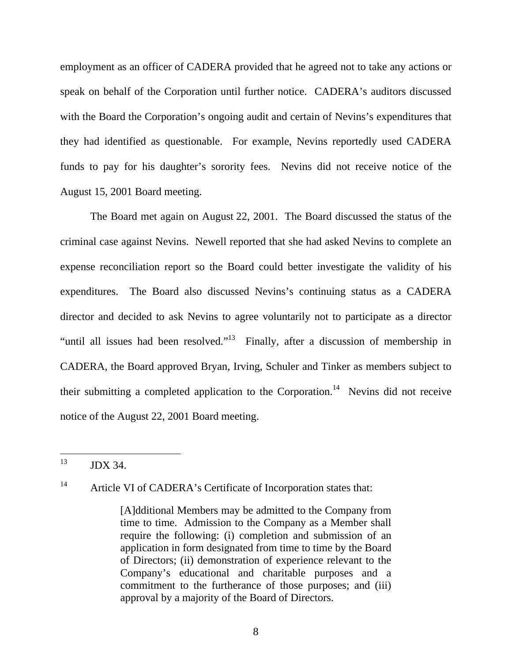employment as an officer of CADERA provided that he agreed not to take any actions or speak on behalf of the Corporation until further notice. CADERA's auditors discussed with the Board the Corporation's ongoing audit and certain of Nevins's expenditures that they had identified as questionable. For example, Nevins reportedly used CADERA funds to pay for his daughter's sorority fees. Nevins did not receive notice of the August 15, 2001 Board meeting.

The Board met again on August 22, 2001. The Board discussed the status of the criminal case against Nevins. Newell reported that she had asked Nevins to complete an expense reconciliation report so the Board could better investigate the validity of his expenditures. The Board also discussed Nevins's continuing status as a CADERA director and decided to ask Nevins to agree voluntarily not to participate as a director "until all issues had been resolved."13 Finally, after a discussion of membership in CADERA, the Board approved Bryan, Irving, Schuler and Tinker as members subject to their submitting a completed application to the Corporation.<sup>14</sup> Nevins did not receive notice of the August 22, 2001 Board meeting.

13 13 JDX 34.

<sup>14</sup> Article VI of CADERA's Certificate of Incorporation states that:

<sup>[</sup>A]dditional Members may be admitted to the Company from time to time. Admission to the Company as a Member shall require the following: (i) completion and submission of an application in form designated from time to time by the Board of Directors; (ii) demonstration of experience relevant to the Company's educational and charitable purposes and a commitment to the furtherance of those purposes; and (iii) approval by a majority of the Board of Directors.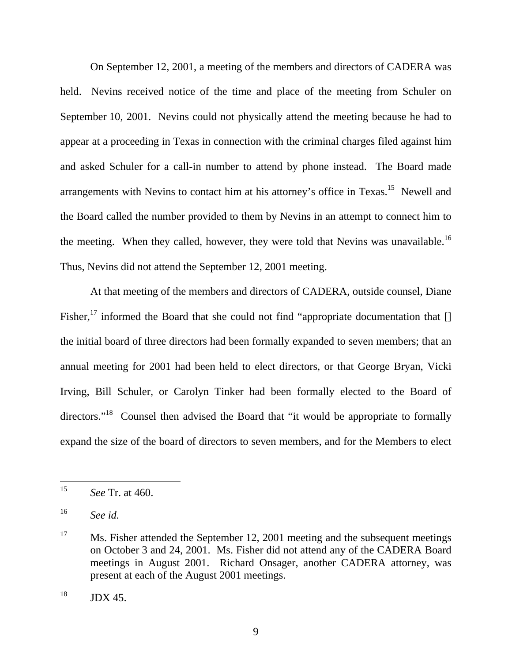On September 12, 2001, a meeting of the members and directors of CADERA was held. Nevins received notice of the time and place of the meeting from Schuler on September 10, 2001. Nevins could not physically attend the meeting because he had to appear at a proceeding in Texas in connection with the criminal charges filed against him and asked Schuler for a call-in number to attend by phone instead. The Board made arrangements with Nevins to contact him at his attorney's office in Texas.<sup>15</sup> Newell and the Board called the number provided to them by Nevins in an attempt to connect him to the meeting. When they called, however, they were told that Nevins was unavailable.<sup>16</sup> Thus, Nevins did not attend the September 12, 2001 meeting.

At that meeting of the members and directors of CADERA, outside counsel, Diane Fisher,<sup>17</sup> informed the Board that she could not find "appropriate documentation that  $[]$ the initial board of three directors had been formally expanded to seven members; that an annual meeting for 2001 had been held to elect directors, or that George Bryan, Vicki Irving, Bill Schuler, or Carolyn Tinker had been formally elected to the Board of directors."<sup>18</sup> Counsel then advised the Board that "it would be appropriate to formally expand the size of the board of directors to seven members, and for the Members to elect

<sup>15</sup> <sup>15</sup> *See* Tr. at 460.

<sup>16</sup> *See id.*

<sup>&</sup>lt;sup>17</sup> Ms. Fisher attended the September 12, 2001 meeting and the subsequent meetings on October 3 and 24, 2001. Ms. Fisher did not attend any of the CADERA Board meetings in August 2001. Richard Onsager, another CADERA attorney, was present at each of the August 2001 meetings.

 $18$  JDX 45.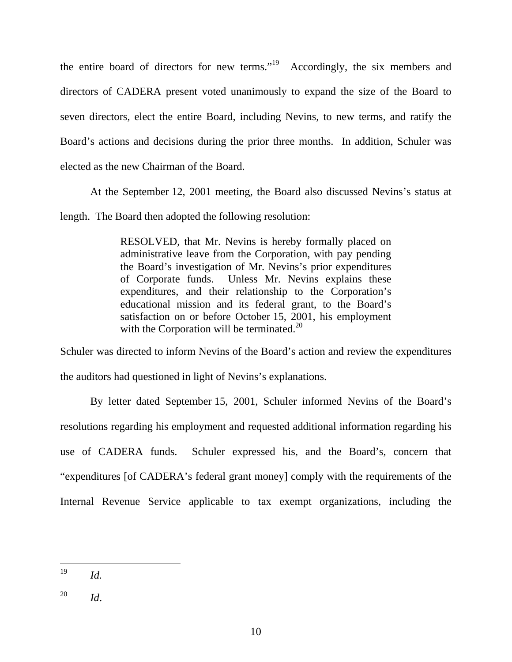the entire board of directors for new terms."19 Accordingly, the six members and directors of CADERA present voted unanimously to expand the size of the Board to seven directors, elect the entire Board, including Nevins, to new terms, and ratify the Board's actions and decisions during the prior three months. In addition, Schuler was elected as the new Chairman of the Board.

At the September 12, 2001 meeting, the Board also discussed Nevins's status at length. The Board then adopted the following resolution:

> RESOLVED, that Mr. Nevins is hereby formally placed on administrative leave from the Corporation, with pay pending the Board's investigation of Mr. Nevins's prior expenditures of Corporate funds. Unless Mr. Nevins explains these expenditures, and their relationship to the Corporation's educational mission and its federal grant, to the Board's satisfaction on or before October 15, 2001, his employment with the Corporation will be terminated. $^{20}$

Schuler was directed to inform Nevins of the Board's action and review the expenditures the auditors had questioned in light of Nevins's explanations.

By letter dated September 15, 2001, Schuler informed Nevins of the Board's resolutions regarding his employment and requested additional information regarding his use of CADERA funds. Schuler expressed his, and the Board's, concern that "expenditures [of CADERA's federal grant money] comply with the requirements of the Internal Revenue Service applicable to tax exempt organizations, including the

<sup>19</sup> *Id.* 

<sup>20</sup> *Id*.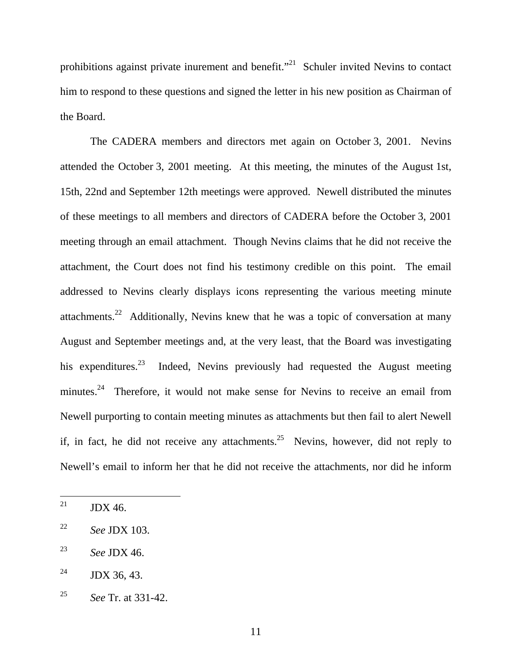prohibitions against private inurement and benefit."<sup>21</sup> Schuler invited Nevins to contact him to respond to these questions and signed the letter in his new position as Chairman of the Board.

The CADERA members and directors met again on October 3, 2001. Nevins attended the October 3, 2001 meeting. At this meeting, the minutes of the August 1st, 15th, 22nd and September 12th meetings were approved. Newell distributed the minutes of these meetings to all members and directors of CADERA before the October 3, 2001 meeting through an email attachment. Though Nevins claims that he did not receive the attachment, the Court does not find his testimony credible on this point. The email addressed to Nevins clearly displays icons representing the various meeting minute attachments.<sup>22</sup> Additionally, Nevins knew that he was a topic of conversation at many August and September meetings and, at the very least, that the Board was investigating his expenditures.<sup>23</sup> Indeed, Nevins previously had requested the August meeting minutes.<sup>24</sup> Therefore, it would not make sense for Nevins to receive an email from Newell purporting to contain meeting minutes as attachments but then fail to alert Newell if, in fact, he did not receive any attachments.<sup>25</sup> Nevins, however, did not reply to Newell's email to inform her that he did not receive the attachments, nor did he inform

<sup>21</sup> JDX 46.

<sup>22</sup> *See* JDX 103.

<sup>23</sup> *See* JDX 46.

<sup>&</sup>lt;sup>24</sup> JDX 36, 43.

<sup>25</sup> *See* Tr. at 331-42.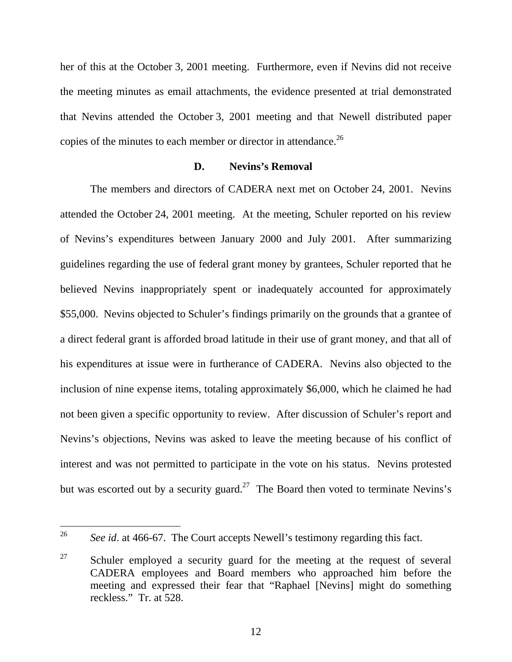her of this at the October 3, 2001 meeting. Furthermore, even if Nevins did not receive the meeting minutes as email attachments, the evidence presented at trial demonstrated that Nevins attended the October 3, 2001 meeting and that Newell distributed paper copies of the minutes to each member or director in attendance.<sup>26</sup>

## **D. Nevins's Removal**

The members and directors of CADERA next met on October 24, 2001. Nevins attended the October 24, 2001 meeting. At the meeting, Schuler reported on his review of Nevins's expenditures between January 2000 and July 2001. After summarizing guidelines regarding the use of federal grant money by grantees, Schuler reported that he believed Nevins inappropriately spent or inadequately accounted for approximately \$55,000. Nevins objected to Schuler's findings primarily on the grounds that a grantee of a direct federal grant is afforded broad latitude in their use of grant money, and that all of his expenditures at issue were in furtherance of CADERA. Nevins also objected to the inclusion of nine expense items, totaling approximately \$6,000, which he claimed he had not been given a specific opportunity to review. After discussion of Schuler's report and Nevins's objections, Nevins was asked to leave the meeting because of his conflict of interest and was not permitted to participate in the vote on his status. Nevins protested but was escorted out by a security guard.<sup>27</sup> The Board then voted to terminate Nevins's

 $26\,$ <sup>26</sup> *See id*. at 466-67. The Court accepts Newell's testimony regarding this fact.

 $27$  Schuler employed a security guard for the meeting at the request of several CADERA employees and Board members who approached him before the meeting and expressed their fear that "Raphael [Nevins] might do something reckless." Tr. at 528.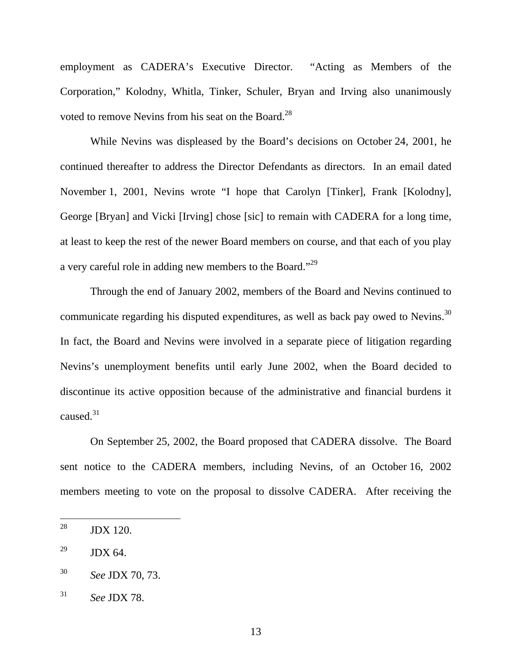employment as CADERA's Executive Director. "Acting as Members of the Corporation," Kolodny, Whitla, Tinker, Schuler, Bryan and Irving also unanimously voted to remove Nevins from his seat on the Board.<sup>28</sup>

While Nevins was displeased by the Board's decisions on October 24, 2001, he continued thereafter to address the Director Defendants as directors. In an email dated November 1, 2001, Nevins wrote "I hope that Carolyn [Tinker], Frank [Kolodny], George [Bryan] and Vicki [Irving] chose [sic] to remain with CADERA for a long time, at least to keep the rest of the newer Board members on course, and that each of you play a very careful role in adding new members to the Board."<sup>29</sup>

Through the end of January 2002, members of the Board and Nevins continued to communicate regarding his disputed expenditures, as well as back pay owed to Nevins.<sup>30</sup> In fact, the Board and Nevins were involved in a separate piece of litigation regarding Nevins's unemployment benefits until early June 2002, when the Board decided to discontinue its active opposition because of the administrative and financial burdens it caused.<sup>31</sup>

On September 25, 2002, the Board proposed that CADERA dissolve. The Board sent notice to the CADERA members, including Nevins, of an October 16, 2002 members meeting to vote on the proposal to dissolve CADERA. After receiving the

<sup>28</sup> JDX 120.

 $^{29}$  JDX 64.

<sup>30</sup> *See* JDX 70, 73.

<sup>31</sup> *See* JDX 78.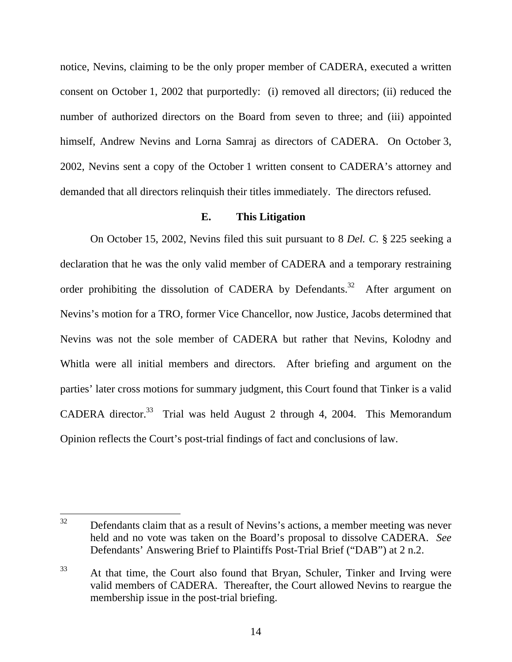notice, Nevins, claiming to be the only proper member of CADERA, executed a written consent on October 1, 2002 that purportedly: (i) removed all directors; (ii) reduced the number of authorized directors on the Board from seven to three; and (iii) appointed himself, Andrew Nevins and Lorna Samraj as directors of CADERA. On October 3, 2002, Nevins sent a copy of the October 1 written consent to CADERA's attorney and demanded that all directors relinquish their titles immediately. The directors refused.

# **E. This Litigation**

On October 15, 2002, Nevins filed this suit pursuant to 8 *Del. C.* § 225 seeking a declaration that he was the only valid member of CADERA and a temporary restraining order prohibiting the dissolution of CADERA by Defendants.<sup>32</sup> After argument on Nevins's motion for a TRO, former Vice Chancellor, now Justice, Jacobs determined that Nevins was not the sole member of CADERA but rather that Nevins, Kolodny and Whitla were all initial members and directors. After briefing and argument on the parties' later cross motions for summary judgment, this Court found that Tinker is a valid CADERA director.<sup>33</sup> Trial was held August 2 through 4, 2004. This Memorandum Opinion reflects the Court's post-trial findings of fact and conclusions of law.

32 Defendants claim that as a result of Nevins's actions, a member meeting was never held and no vote was taken on the Board's proposal to dissolve CADERA. *See*  Defendants' Answering Brief to Plaintiffs Post-Trial Brief ("DAB") at 2 n.2.

<sup>&</sup>lt;sup>33</sup> At that time, the Court also found that Bryan, Schuler, Tinker and Irving were valid members of CADERA. Thereafter, the Court allowed Nevins to reargue the membership issue in the post-trial briefing.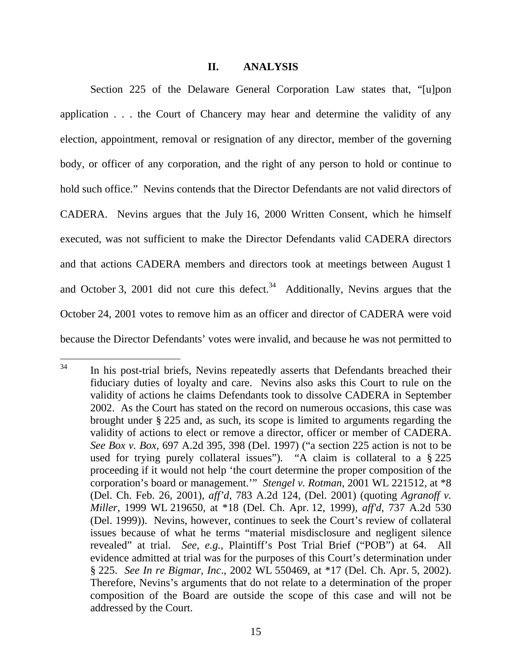#### **II. ANALYSIS**

Section 225 of the Delaware General Corporation Law states that, "[u]pon application . . . the Court of Chancery may hear and determine the validity of any election, appointment, removal or resignation of any director, member of the governing body, or officer of any corporation, and the right of any person to hold or continue to hold such office." Nevins contends that the Director Defendants are not valid directors of CADERA. Nevins argues that the July 16, 2000 Written Consent, which he himself executed, was not sufficient to make the Director Defendants valid CADERA directors and that actions CADERA members and directors took at meetings between August 1 and October 3, 2001 did not cure this defect.<sup>34</sup> Additionally, Nevins argues that the October 24, 2001 votes to remove him as an officer and director of CADERA were void because the Director Defendants' votes were invalid, and because he was not permitted to

<sup>34</sup> In his post-trial briefs, Nevins repeatedly asserts that Defendants breached their fiduciary duties of loyalty and care. Nevins also asks this Court to rule on the validity of actions he claims Defendants took to dissolve CADERA in September 2002. As the Court has stated on the record on numerous occasions, this case was brought under § 225 and, as such, its scope is limited to arguments regarding the validity of actions to elect or remove a director, officer or member of CADERA. *See Box v. Box,* 697 A.2d 395, 398 (Del. 1997) ("a section 225 action is not to be used for trying purely collateral issues"). "A claim is collateral to a § 225 proceeding if it would not help 'the court determine the proper composition of the corporation's board or management.'" *Stengel v. Rotman*, 2001 WL 221512, at \*8 (Del. Ch. Feb. 26, 2001), *aff'd*, 783 A.2d 124, (Del. 2001) (quoting *Agranoff v. Miller*, 1999 WL 219650, at \*18 (Del. Ch. Apr. 12, 1999), *aff'd*, 737 A.2d 530 (Del. 1999)). Nevins, however, continues to seek the Court's review of collateral issues because of what he terms "material misdisclosure and negligent silence revealed" at trial. *See, e.g.,* Plaintiff's Post Trial Brief ("POB") at 64. All evidence admitted at trial was for the purposes of this Court's determination under § 225. *See In re Bigmar, Inc*., 2002 WL 550469, at \*17 (Del. Ch. Apr. 5, 2002). Therefore, Nevins's arguments that do not relate to a determination of the proper composition of the Board are outside the scope of this case and will not be addressed by the Court.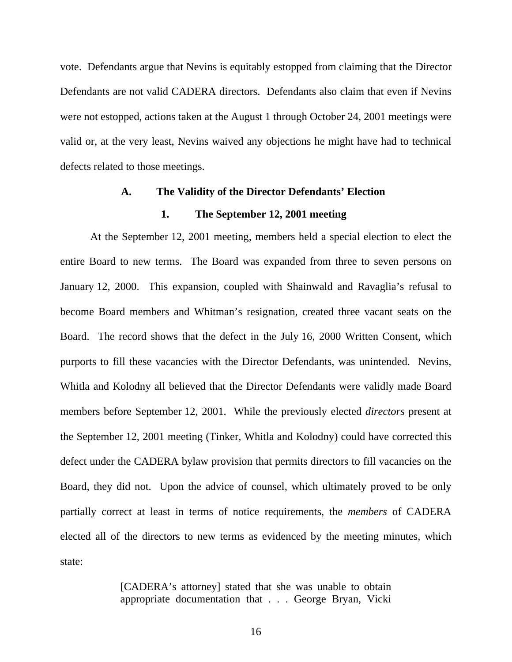vote. Defendants argue that Nevins is equitably estopped from claiming that the Director Defendants are not valid CADERA directors. Defendants also claim that even if Nevins were not estopped, actions taken at the August 1 through October 24, 2001 meetings were valid or, at the very least, Nevins waived any objections he might have had to technical defects related to those meetings.

### **A. The Validity of the Director Defendants' Election**

#### **1. The September 12, 2001 meeting**

At the September 12, 2001 meeting, members held a special election to elect the entire Board to new terms. The Board was expanded from three to seven persons on January 12, 2000. This expansion, coupled with Shainwald and Ravaglia's refusal to become Board members and Whitman's resignation, created three vacant seats on the Board. The record shows that the defect in the July 16, 2000 Written Consent, which purports to fill these vacancies with the Director Defendants, was unintended. Nevins, Whitla and Kolodny all believed that the Director Defendants were validly made Board members before September 12, 2001. While the previously elected *directors* present at the September 12, 2001 meeting (Tinker, Whitla and Kolodny) could have corrected this defect under the CADERA bylaw provision that permits directors to fill vacancies on the Board, they did not. Upon the advice of counsel, which ultimately proved to be only partially correct at least in terms of notice requirements, the *members* of CADERA elected all of the directors to new terms as evidenced by the meeting minutes, which state:

> [CADERA's attorney] stated that she was unable to obtain appropriate documentation that . . . George Bryan, Vicki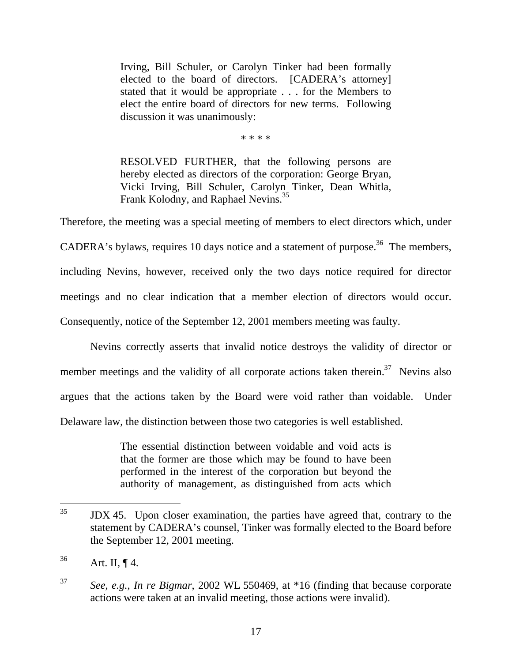Irving, Bill Schuler, or Carolyn Tinker had been formally elected to the board of directors. [CADERA's attorney] stated that it would be appropriate . . . for the Members to elect the entire board of directors for new terms. Following discussion it was unanimously:

\* \* \* \*

RESOLVED FURTHER, that the following persons are hereby elected as directors of the corporation: George Bryan, Vicki Irving, Bill Schuler, Carolyn Tinker, Dean Whitla, Frank Kolodny, and Raphael Nevins.<sup>35</sup>

Therefore, the meeting was a special meeting of members to elect directors which, under CADERA's bylaws, requires 10 days notice and a statement of purpose.<sup>36</sup> The members, including Nevins, however, received only the two days notice required for director meetings and no clear indication that a member election of directors would occur. Consequently, notice of the September 12, 2001 members meeting was faulty.

Nevins correctly asserts that invalid notice destroys the validity of director or member meetings and the validity of all corporate actions taken therein.<sup>37</sup> Nevins also argues that the actions taken by the Board were void rather than voidable. Under Delaware law, the distinction between those two categories is well established.

> The essential distinction between voidable and void acts is that the former are those which may be found to have been performed in the interest of the corporation but beyond the authority of management, as distinguished from acts which

<sup>35</sup> 35 JDX 45. Upon closer examination, the parties have agreed that, contrary to the statement by CADERA's counsel, Tinker was formally elected to the Board before the September 12, 2001 meeting.

 $36$  Art. II,  $\P$  4.

<sup>37</sup> *See, e.g., In re Bigmar*, 2002 WL 550469, at \*16 (finding that because corporate actions were taken at an invalid meeting, those actions were invalid).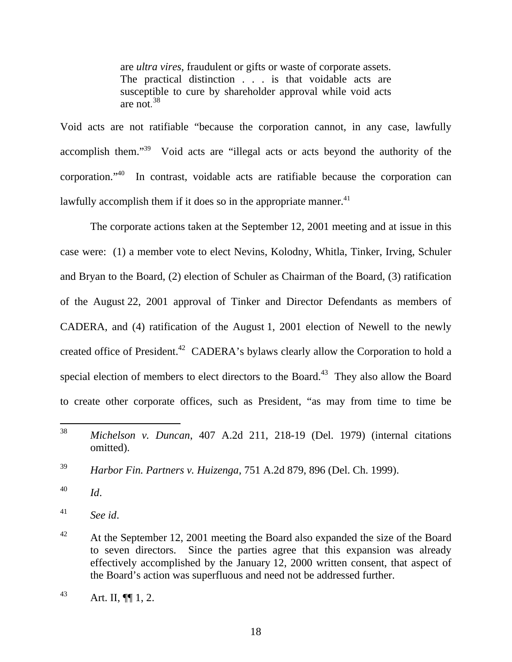are *ultra vires*, fraudulent or gifts or waste of corporate assets. The practical distinction . . . is that voidable acts are susceptible to cure by shareholder approval while void acts are not. 38

Void acts are not ratifiable "because the corporation cannot, in any case, lawfully accomplish them."39 Void acts are "illegal acts or acts beyond the authority of the corporation."40 In contrast, voidable acts are ratifiable because the corporation can lawfully accomplish them if it does so in the appropriate manner. $41$ 

The corporate actions taken at the September 12, 2001 meeting and at issue in this case were: (1) a member vote to elect Nevins, Kolodny, Whitla, Tinker, Irving, Schuler and Bryan to the Board, (2) election of Schuler as Chairman of the Board, (3) ratification of the August 22, 2001 approval of Tinker and Director Defendants as members of CADERA, and (4) ratification of the August 1, 2001 election of Newell to the newly created office of President.<sup>42</sup> CADERA's bylaws clearly allow the Corporation to hold a special election of members to elect directors to the Board.<sup>43</sup> They also allow the Board to create other corporate offices, such as President, "as may from time to time be

<sup>40</sup> *Id*.

<sup>41</sup> *See id*.

<sup>38</sup> <sup>38</sup> *Michelson v. Duncan*, 407 A.2d 211, 218-19 (Del. 1979) (internal citations omitted).

<sup>39</sup> *Harbor Fin. Partners v. Huizenga*, 751 A.2d 879, 896 (Del. Ch. 1999).

<sup>&</sup>lt;sup>42</sup> At the September 12, 2001 meeting the Board also expanded the size of the Board to seven directors. Since the parties agree that this expansion was already effectively accomplished by the January 12, 2000 written consent, that aspect of the Board's action was superfluous and need not be addressed further.

<sup>&</sup>lt;sup>43</sup> Art. II,  $\P$  1, 2.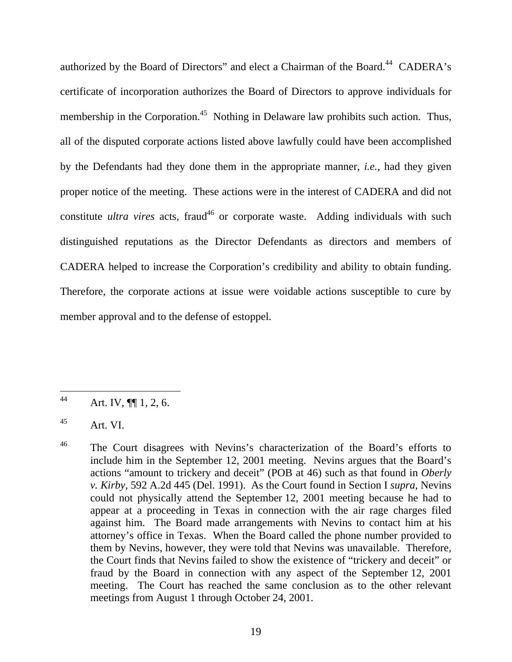authorized by the Board of Directors" and elect a Chairman of the Board.<sup>44</sup> CADERA's certificate of incorporation authorizes the Board of Directors to approve individuals for membership in the Corporation.<sup>45</sup> Nothing in Delaware law prohibits such action. Thus, all of the disputed corporate actions listed above lawfully could have been accomplished by the Defendants had they done them in the appropriate manner, *i.e.*, had they given proper notice of the meeting. These actions were in the interest of CADERA and did not constitute *ultra vires* acts, fraud<sup>46</sup> or corporate waste. Adding individuals with such distinguished reputations as the Director Defendants as directors and members of CADERA helped to increase the Corporation's credibility and ability to obtain funding. Therefore, the corporate actions at issue were voidable actions susceptible to cure by member approval and to the defense of estoppel.

<sup>44</sup> Art. IV,  $\P\P$  1, 2, 6.

 $^{45}$  Art. VI.

<sup>&</sup>lt;sup>46</sup> The Court disagrees with Nevins's characterization of the Board's efforts to include him in the September 12, 2001 meeting. Nevins argues that the Board's actions "amount to trickery and deceit" (POB at 46) such as that found in *Oberly v. Kirby*, 592 A.2d 445 (Del. 1991). As the Court found in Section I *supra*, Nevins could not physically attend the September 12, 2001 meeting because he had to appear at a proceeding in Texas in connection with the air rage charges filed against him. The Board made arrangements with Nevins to contact him at his attorney's office in Texas. When the Board called the phone number provided to them by Nevins, however, they were told that Nevins was unavailable. Therefore, the Court finds that Nevins failed to show the existence of "trickery and deceit" or fraud by the Board in connection with any aspect of the September 12, 2001 meeting. The Court has reached the same conclusion as to the other relevant meetings from August 1 through October 24, 2001.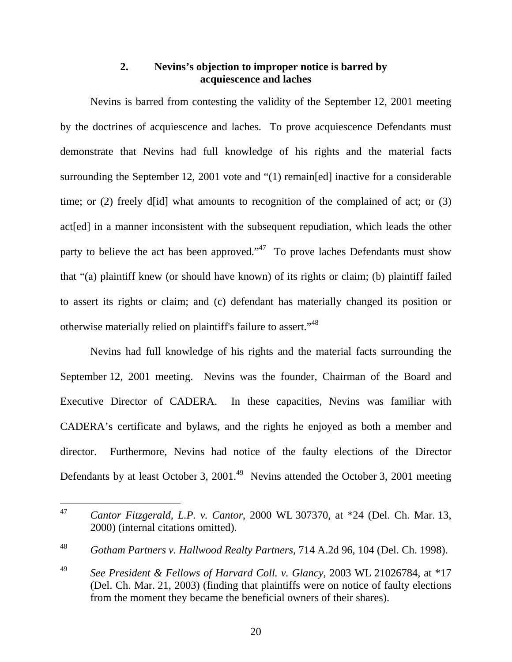# **2. Nevins's objection to improper notice is barred by acquiescence and laches**

Nevins is barred from contesting the validity of the September 12, 2001 meeting by the doctrines of acquiescence and laches. To prove acquiescence Defendants must demonstrate that Nevins had full knowledge of his rights and the material facts surrounding the September 12, 2001 vote and "(1) remain[ed] inactive for a considerable time; or (2) freely d[id] what amounts to recognition of the complained of act; or (3) act[ed] in a manner inconsistent with the subsequent repudiation, which leads the other party to believe the act has been approved."<sup>47</sup> To prove laches Defendants must show that "(a) plaintiff knew (or should have known) of its rights or claim; (b) plaintiff failed to assert its rights or claim; and (c) defendant has materially changed its position or otherwise materially relied on plaintiff's failure to assert."48

Nevins had full knowledge of his rights and the material facts surrounding the September 12, 2001 meeting. Nevins was the founder, Chairman of the Board and Executive Director of CADERA. In these capacities, Nevins was familiar with CADERA's certificate and bylaws, and the rights he enjoyed as both a member and director. Furthermore, Nevins had notice of the faulty elections of the Director Defendants by at least October 3,  $2001.<sup>49</sup>$  Nevins attended the October 3, 2001 meeting

<sup>47</sup> <sup>47</sup> *Cantor Fitzgerald, L.P. v. Cantor*, 2000 WL 307370, at \*24 (Del. Ch. Mar. 13, 2000) (internal citations omitted).

<sup>48</sup> *Gotham Partners v. Hallwood Realty Partners,* 714 A.2d 96, 104 (Del. Ch. 1998).

<sup>49</sup> *See President & Fellows of Harvard Coll. v. Glancy,* 2003 WL 21026784, at \*17 (Del. Ch. Mar. 21, 2003) (finding that plaintiffs were on notice of faulty elections from the moment they became the beneficial owners of their shares).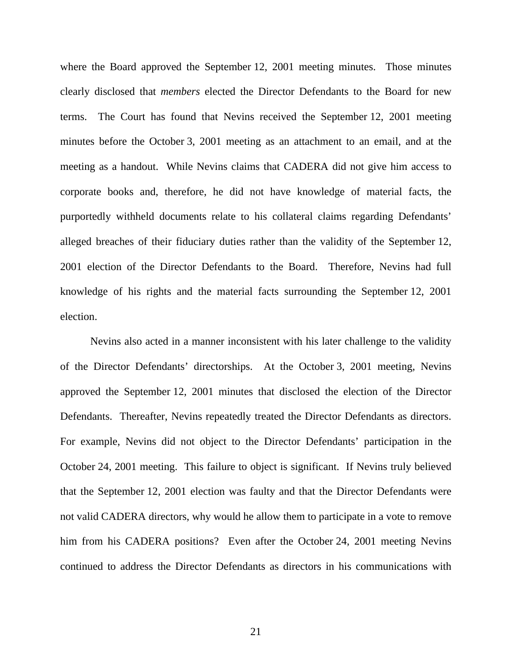where the Board approved the September 12, 2001 meeting minutes. Those minutes clearly disclosed that *members* elected the Director Defendants to the Board for new terms. The Court has found that Nevins received the September 12, 2001 meeting minutes before the October 3, 2001 meeting as an attachment to an email, and at the meeting as a handout. While Nevins claims that CADERA did not give him access to corporate books and, therefore, he did not have knowledge of material facts, the purportedly withheld documents relate to his collateral claims regarding Defendants' alleged breaches of their fiduciary duties rather than the validity of the September 12, 2001 election of the Director Defendants to the Board. Therefore, Nevins had full knowledge of his rights and the material facts surrounding the September 12, 2001 election.

Nevins also acted in a manner inconsistent with his later challenge to the validity of the Director Defendants' directorships. At the October 3, 2001 meeting, Nevins approved the September 12, 2001 minutes that disclosed the election of the Director Defendants. Thereafter, Nevins repeatedly treated the Director Defendants as directors. For example, Nevins did not object to the Director Defendants' participation in the October 24, 2001 meeting. This failure to object is significant. If Nevins truly believed that the September 12, 2001 election was faulty and that the Director Defendants were not valid CADERA directors, why would he allow them to participate in a vote to remove him from his CADERA positions? Even after the October 24, 2001 meeting Nevins continued to address the Director Defendants as directors in his communications with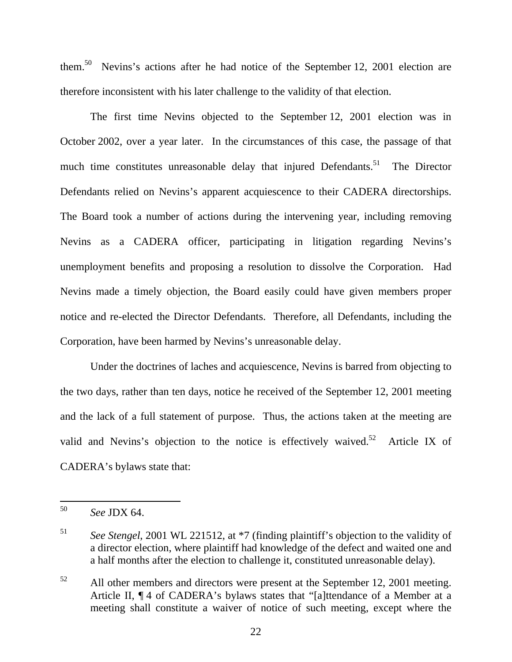them.50 Nevins's actions after he had notice of the September 12, 2001 election are therefore inconsistent with his later challenge to the validity of that election.

The first time Nevins objected to the September 12, 2001 election was in October 2002, over a year later. In the circumstances of this case, the passage of that much time constitutes unreasonable delay that injured Defendants.<sup>51</sup> The Director Defendants relied on Nevins's apparent acquiescence to their CADERA directorships. The Board took a number of actions during the intervening year, including removing Nevins as a CADERA officer, participating in litigation regarding Nevins's unemployment benefits and proposing a resolution to dissolve the Corporation. Had Nevins made a timely objection, the Board easily could have given members proper notice and re-elected the Director Defendants. Therefore, all Defendants, including the Corporation, have been harmed by Nevins's unreasonable delay.

 Under the doctrines of laches and acquiescence, Nevins is barred from objecting to the two days, rather than ten days, notice he received of the September 12, 2001 meeting and the lack of a full statement of purpose. Thus, the actions taken at the meeting are valid and Nevins's objection to the notice is effectively waived. $52$  Article IX of CADERA's bylaws state that:

<sup>50</sup> <sup>50</sup> *See* JDX 64.

<sup>51</sup> *See Stengel*, 2001 WL 221512, at \*7 (finding plaintiff's objection to the validity of a director election, where plaintiff had knowledge of the defect and waited one and a half months after the election to challenge it, constituted unreasonable delay).

<sup>&</sup>lt;sup>52</sup> All other members and directors were present at the September 12, 2001 meeting. Article II, ¶ 4 of CADERA's bylaws states that "[a]ttendance of a Member at a meeting shall constitute a waiver of notice of such meeting, except where the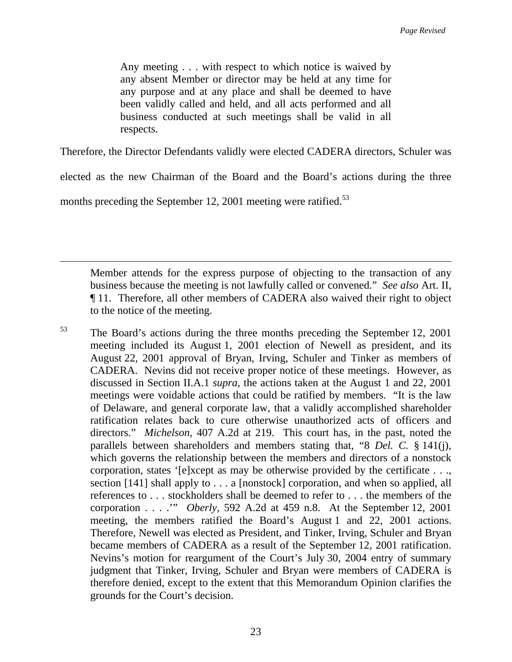Any meeting . . . with respect to which notice is waived by any absent Member or director may be held at any time for any purpose and at any place and shall be deemed to have been validly called and held, and all acts performed and all business conducted at such meetings shall be valid in all respects.

Therefore, the Director Defendants validly were elected CADERA directors, Schuler was

elected as the new Chairman of the Board and the Board's actions during the three

months preceding the September 12, 2001 meeting were ratified.<sup>53</sup>

 $\overline{a}$ 

Member attends for the express purpose of objecting to the transaction of any business because the meeting is not lawfully called or convened." *See also* Art. II, ¶ 11. Therefore, all other members of CADERA also waived their right to object to the notice of the meeting.

53 The Board's actions during the three months preceding the September 12, 2001 meeting included its August 1, 2001 election of Newell as president, and its August 22, 2001 approval of Bryan, Irving, Schuler and Tinker as members of CADERA. Nevins did not receive proper notice of these meetings. However, as discussed in Section II.A.1 *supra,* the actions taken at the August 1 and 22, 2001 meetings were voidable actions that could be ratified by members. "It is the law of Delaware, and general corporate law, that a validly accomplished shareholder ratification relates back to cure otherwise unauthorized acts of officers and directors." *Michelson*, 407 A.2d at 219. This court has, in the past, noted the parallels between shareholders and members stating that, "8 *Del. C.* § 141(j), which governs the relationship between the members and directors of a nonstock corporation, states '[e]xcept as may be otherwise provided by the certificate . . ., section [141] shall apply to . . . a [nonstock] corporation, and when so applied, all references to . . . stockholders shall be deemed to refer to . . . the members of the corporation . . . .'" *Oberly,* 592 A.2d at 459 n.8. At the September 12, 2001 meeting, the members ratified the Board's August 1 and 22, 2001 actions. Therefore, Newell was elected as President, and Tinker, Irving, Schuler and Bryan became members of CADERA as a result of the September 12, 2001 ratification. Nevins's motion for reargument of the Court's July 30, 2004 entry of summary judgment that Tinker, Irving, Schuler and Bryan were members of CADERA is therefore denied, except to the extent that this Memorandum Opinion clarifies the grounds for the Court's decision.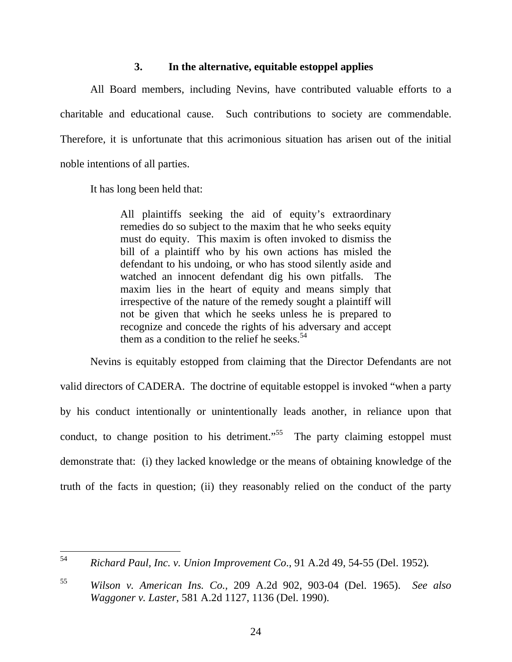## **3. In the alternative, equitable estoppel applies**

All Board members, including Nevins, have contributed valuable efforts to a charitable and educational cause. Such contributions to society are commendable. Therefore, it is unfortunate that this acrimonious situation has arisen out of the initial noble intentions of all parties.

It has long been held that:

All plaintiffs seeking the aid of equity's extraordinary remedies do so subject to the maxim that he who seeks equity must do equity. This maxim is often invoked to dismiss the bill of a plaintiff who by his own actions has misled the defendant to his undoing, or who has stood silently aside and watched an innocent defendant dig his own pitfalls. The maxim lies in the heart of equity and means simply that irrespective of the nature of the remedy sought a plaintiff will not be given that which he seeks unless he is prepared to recognize and concede the rights of his adversary and accept them as a condition to the relief he seeks.<sup>54</sup>

Nevins is equitably estopped from claiming that the Director Defendants are not valid directors of CADERA. The doctrine of equitable estoppel is invoked "when a party by his conduct intentionally or unintentionally leads another, in reliance upon that conduct, to change position to his detriment."<sup>55</sup> The party claiming estoppel must demonstrate that: (i) they lacked knowledge or the means of obtaining knowledge of the truth of the facts in question; (ii) they reasonably relied on the conduct of the party

<sup>54</sup> <sup>54</sup> *Richard Paul, Inc. v. Union Improvement Co*., 91 A.2d 49, 54-55 (Del. 1952)**.**

<sup>55</sup> *Wilson v. American Ins. Co.,* 209 A.2d 902, 903-04 (Del. 1965). *See also Waggoner v. Laster*, 581 A.2d 1127, 1136 (Del. 1990).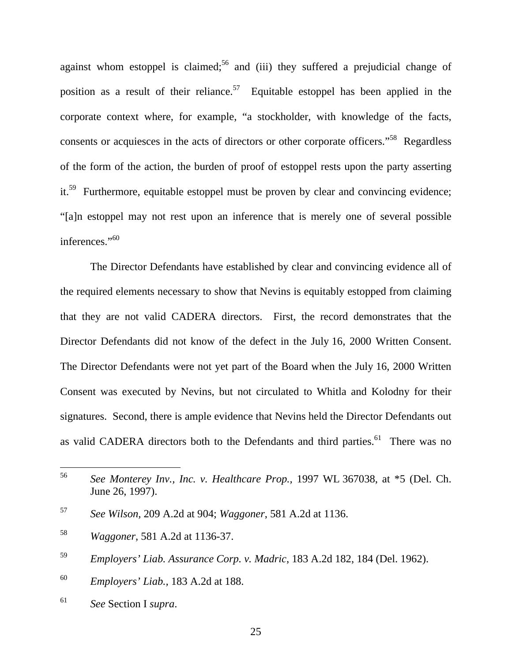against whom estoppel is claimed;<sup>56</sup> and (iii) they suffered a prejudicial change of position as a result of their reliance.<sup>57</sup> Equitable estoppel has been applied in the corporate context where, for example, "a stockholder, with knowledge of the facts, consents or acquiesces in the acts of directors or other corporate officers."<sup>58</sup> Regardless of the form of the action, the burden of proof of estoppel rests upon the party asserting it.<sup>59</sup> Furthermore, equitable estoppel must be proven by clear and convincing evidence; "[a]n estoppel may not rest upon an inference that is merely one of several possible inferences."<sup>60</sup>

The Director Defendants have established by clear and convincing evidence all of the required elements necessary to show that Nevins is equitably estopped from claiming that they are not valid CADERA directors. First, the record demonstrates that the Director Defendants did not know of the defect in the July 16, 2000 Written Consent. The Director Defendants were not yet part of the Board when the July 16, 2000 Written Consent was executed by Nevins, but not circulated to Whitla and Kolodny for their signatures. Second, there is ample evidence that Nevins held the Director Defendants out as valid CADERA directors both to the Defendants and third parties.<sup>61</sup> There was no

<sup>61</sup> *See* Section I *supra*.

<sup>56</sup> <sup>56</sup> *See Monterey Inv., Inc. v. Healthcare Prop.,* 1997 WL 367038, at \*5 (Del. Ch. June 26, 1997).

<sup>57</sup> *See Wilson,* 209 A.2d at 904; *Waggoner*, 581 A.2d at 1136.

<sup>58</sup> *Waggoner*, 581 A.2d at 1136-37.

<sup>59</sup> *Employers' Liab. Assurance Corp. v. Madric*, 183 A.2d 182, 184 (Del. 1962).

<sup>60</sup> *Employers' Liab.,* 183 A.2d at 188.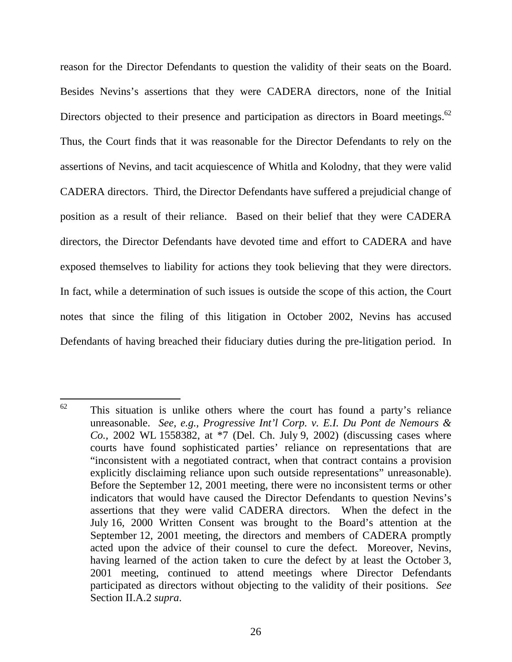reason for the Director Defendants to question the validity of their seats on the Board. Besides Nevins's assertions that they were CADERA directors, none of the Initial Directors objected to their presence and participation as directors in Board meetings.<sup>62</sup> Thus, the Court finds that it was reasonable for the Director Defendants to rely on the assertions of Nevins, and tacit acquiescence of Whitla and Kolodny, that they were valid CADERA directors. Third, the Director Defendants have suffered a prejudicial change of position as a result of their reliance. Based on their belief that they were CADERA directors, the Director Defendants have devoted time and effort to CADERA and have exposed themselves to liability for actions they took believing that they were directors. In fact, while a determination of such issues is outside the scope of this action, the Court notes that since the filing of this litigation in October 2002, Nevins has accused Defendants of having breached their fiduciary duties during the pre-litigation period. In

<sup>62</sup> This situation is unlike others where the court has found a party's reliance unreasonable. *See, e.g., Progressive Int'l Corp. v. E.I. Du Pont de Nemours & Co.,* 2002 WL 1558382, at \*7 (Del. Ch. July 9, 2002) (discussing cases where courts have found sophisticated parties' reliance on representations that are "inconsistent with a negotiated contract, when that contract contains a provision explicitly disclaiming reliance upon such outside representations" unreasonable). Before the September 12, 2001 meeting, there were no inconsistent terms or other indicators that would have caused the Director Defendants to question Nevins's assertions that they were valid CADERA directors. When the defect in the July 16, 2000 Written Consent was brought to the Board's attention at the September 12, 2001 meeting, the directors and members of CADERA promptly acted upon the advice of their counsel to cure the defect. Moreover, Nevins, having learned of the action taken to cure the defect by at least the October 3, 2001 meeting, continued to attend meetings where Director Defendants participated as directors without objecting to the validity of their positions. *See*  Section II.A.2 *supra*.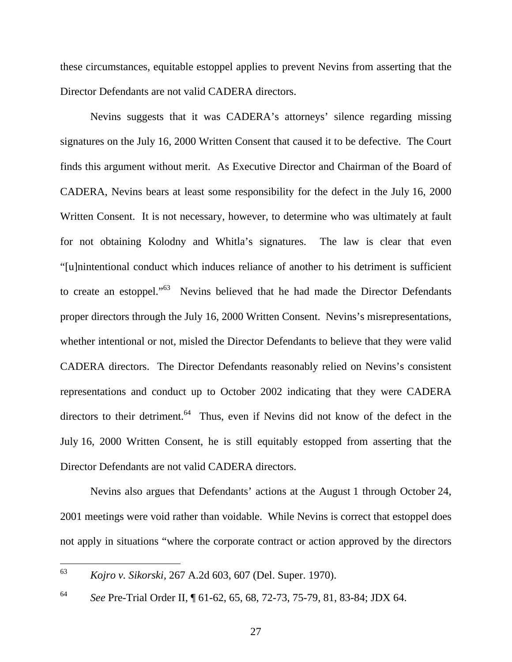these circumstances, equitable estoppel applies to prevent Nevins from asserting that the Director Defendants are not valid CADERA directors.

 Nevins suggests that it was CADERA's attorneys' silence regarding missing signatures on the July 16, 2000 Written Consent that caused it to be defective. The Court finds this argument without merit. As Executive Director and Chairman of the Board of CADERA, Nevins bears at least some responsibility for the defect in the July 16, 2000 Written Consent. It is not necessary, however, to determine who was ultimately at fault for not obtaining Kolodny and Whitla's signatures. The law is clear that even "[u]nintentional conduct which induces reliance of another to his detriment is sufficient to create an estoppel."<sup>63</sup> Nevins believed that he had made the Director Defendants proper directors through the July 16, 2000 Written Consent. Nevins's misrepresentations, whether intentional or not, misled the Director Defendants to believe that they were valid CADERA directors. The Director Defendants reasonably relied on Nevins's consistent representations and conduct up to October 2002 indicating that they were CADERA directors to their detriment.<sup>64</sup> Thus, even if Nevins did not know of the defect in the July 16, 2000 Written Consent, he is still equitably estopped from asserting that the Director Defendants are not valid CADERA directors.

Nevins also argues that Defendants' actions at the August 1 through October 24, 2001 meetings were void rather than voidable. While Nevins is correct that estoppel does not apply in situations "where the corporate contract or action approved by the directors

<sup>63</sup> <sup>63</sup> *Kojro v. Sikorski,* 267 A.2d 603, 607 (Del. Super. 1970).

<sup>64</sup> *See* Pre-Trial Order II, ¶ 61-62, 65, 68, 72-73, 75-79, 81, 83-84; JDX 64.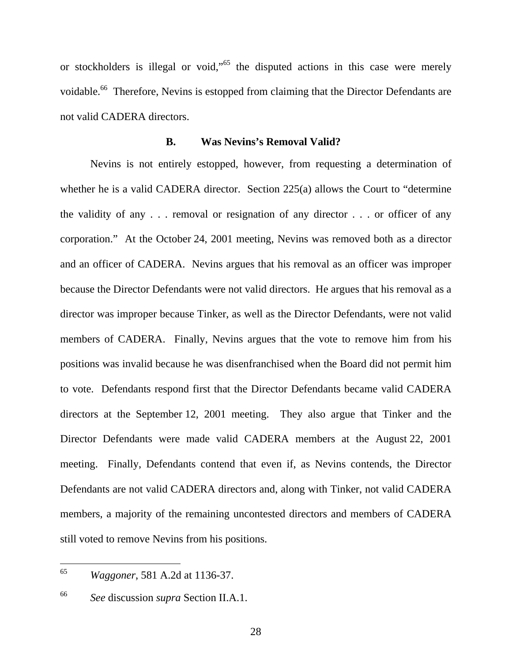or stockholders is illegal or void,"<sup>65</sup> the disputed actions in this case were merely voidable.<sup>66</sup> Therefore, Nevins is estopped from claiming that the Director Defendants are not valid CADERA directors.

#### **B. Was Nevins's Removal Valid?**

Nevins is not entirely estopped, however, from requesting a determination of whether he is a valid CADERA director. Section 225(a) allows the Court to "determine" the validity of any . . . removal or resignation of any director . . . or officer of any corporation." At the October 24, 2001 meeting, Nevins was removed both as a director and an officer of CADERA. Nevins argues that his removal as an officer was improper because the Director Defendants were not valid directors. He argues that his removal as a director was improper because Tinker, as well as the Director Defendants, were not valid members of CADERA. Finally, Nevins argues that the vote to remove him from his positions was invalid because he was disenfranchised when the Board did not permit him to vote. Defendants respond first that the Director Defendants became valid CADERA directors at the September 12, 2001 meeting. They also argue that Tinker and the Director Defendants were made valid CADERA members at the August 22, 2001 meeting. Finally, Defendants contend that even if, as Nevins contends, the Director Defendants are not valid CADERA directors and, along with Tinker, not valid CADERA members, a majority of the remaining uncontested directors and members of CADERA still voted to remove Nevins from his positions.

<sup>65</sup> <sup>65</sup> *Waggoner*, 581 A.2d at 1136-37.

<sup>66</sup> *See* discussion *supra* Section II.A.1.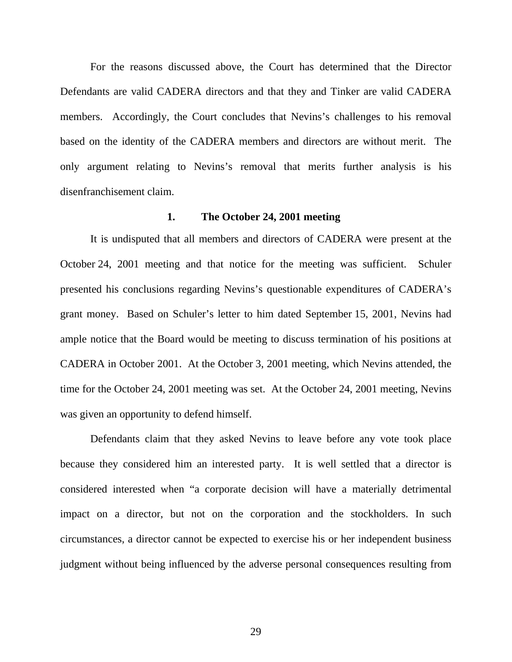For the reasons discussed above, the Court has determined that the Director Defendants are valid CADERA directors and that they and Tinker are valid CADERA members. Accordingly, the Court concludes that Nevins's challenges to his removal based on the identity of the CADERA members and directors are without merit. The only argument relating to Nevins's removal that merits further analysis is his disenfranchisement claim.

## **1. The October 24, 2001 meeting**

It is undisputed that all members and directors of CADERA were present at the October 24, 2001 meeting and that notice for the meeting was sufficient. Schuler presented his conclusions regarding Nevins's questionable expenditures of CADERA's grant money. Based on Schuler's letter to him dated September 15, 2001, Nevins had ample notice that the Board would be meeting to discuss termination of his positions at CADERA in October 2001. At the October 3, 2001 meeting, which Nevins attended, the time for the October 24, 2001 meeting was set. At the October 24, 2001 meeting, Nevins was given an opportunity to defend himself.

Defendants claim that they asked Nevins to leave before any vote took place because they considered him an interested party. It is well settled that a director is considered interested when "a corporate decision will have a materially detrimental impact on a director, but not on the corporation and the stockholders. In such circumstances, a director cannot be expected to exercise his or her independent business judgment without being influenced by the adverse personal consequences resulting from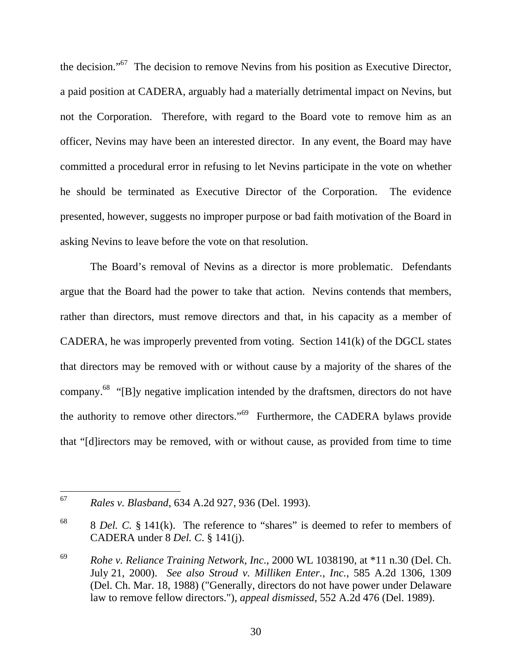the decision."67 The decision to remove Nevins from his position as Executive Director, a paid position at CADERA, arguably had a materially detrimental impact on Nevins, but not the Corporation. Therefore, with regard to the Board vote to remove him as an officer, Nevins may have been an interested director. In any event, the Board may have committed a procedural error in refusing to let Nevins participate in the vote on whether he should be terminated as Executive Director of the Corporation. The evidence presented, however, suggests no improper purpose or bad faith motivation of the Board in asking Nevins to leave before the vote on that resolution.

The Board's removal of Nevins as a director is more problematic. Defendants argue that the Board had the power to take that action. Nevins contends that members, rather than directors, must remove directors and that, in his capacity as a member of CADERA, he was improperly prevented from voting. Section 141(k) of the DGCL states that directors may be removed with or without cause by a majority of the shares of the company.68 "[B]y negative implication intended by the draftsmen, directors do not have the authority to remove other directors."69 Furthermore, the CADERA bylaws provide that "[d]irectors may be removed, with or without cause, as provided from time to time

 $\overline{a}$ 

<sup>67</sup> *Rales v. Blasband*, 634 A.2d 927, 936 (Del. 1993).

<sup>68 8</sup> *Del. C.* § 141(k). The reference to "shares" is deemed to refer to members of CADERA under 8 *Del. C*. § 141(j).

<sup>69</sup> *Rohe v. Reliance Training Network, Inc*., 2000 WL 1038190, at \*11 n.30 (Del. Ch. July 21, 2000). *See also Stroud v. Milliken Enter., Inc.*, 585 A.2d 1306, 1309 (Del. Ch. Mar. 18, 1988) ("Generally, directors do not have power under Delaware law to remove fellow directors."), *appeal dismissed*, 552 A.2d 476 (Del. 1989).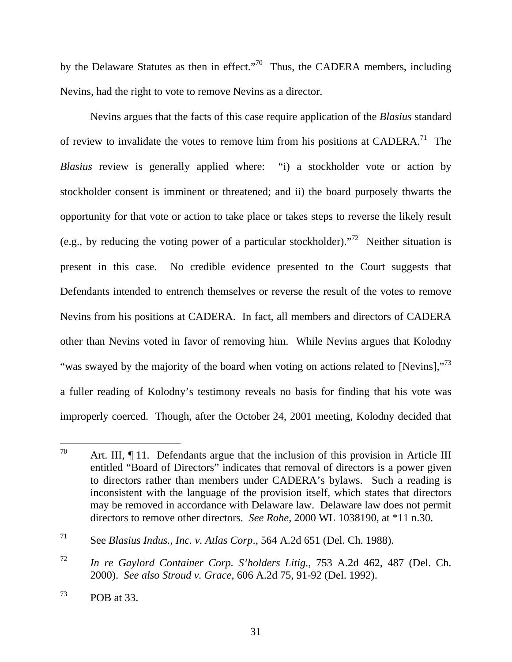by the Delaware Statutes as then in effect."<sup>70</sup> Thus, the CADERA members, including Nevins, had the right to vote to remove Nevins as a director.

Nevins argues that the facts of this case require application of the *Blasius* standard of review to invalidate the votes to remove him from his positions at CADERA.<sup>71</sup> The *Blasius* review is generally applied where: "i) a stockholder vote or action by stockholder consent is imminent or threatened; and ii) the board purposely thwarts the opportunity for that vote or action to take place or takes steps to reverse the likely result (e.g., by reducing the voting power of a particular stockholder).<sup> $72$ </sup> Neither situation is present in this case. No credible evidence presented to the Court suggests that Defendants intended to entrench themselves or reverse the result of the votes to remove Nevins from his positions at CADERA. In fact, all members and directors of CADERA other than Nevins voted in favor of removing him. While Nevins argues that Kolodny "was swayed by the majority of the board when voting on actions related to [Nevins],"<sup>73</sup> a fuller reading of Kolodny's testimony reveals no basis for finding that his vote was improperly coerced. Though, after the October 24, 2001 meeting, Kolodny decided that

 $70\,$ Art. III,  $\P$  11. Defendants argue that the inclusion of this provision in Article III entitled "Board of Directors" indicates that removal of directors is a power given to directors rather than members under CADERA's bylaws. Such a reading is inconsistent with the language of the provision itself, which states that directors may be removed in accordance with Delaware law. Delaware law does not permit directors to remove other directors. *See Rohe*, 2000 WL 1038190, at \*11 n.30.

<sup>71</sup> See *Blasius Indus., Inc. v. Atlas Corp*., 564 A.2d 651 (Del. Ch. 1988).

<sup>72</sup> *In re Gaylord Container Corp. S'holders Litig.*, 753 A.2d 462, 487 (Del. Ch. 2000). *See also Stroud v. Grace*, 606 A.2d 75, 91-92 (Del. 1992).

 $^{73}$  POB at 33.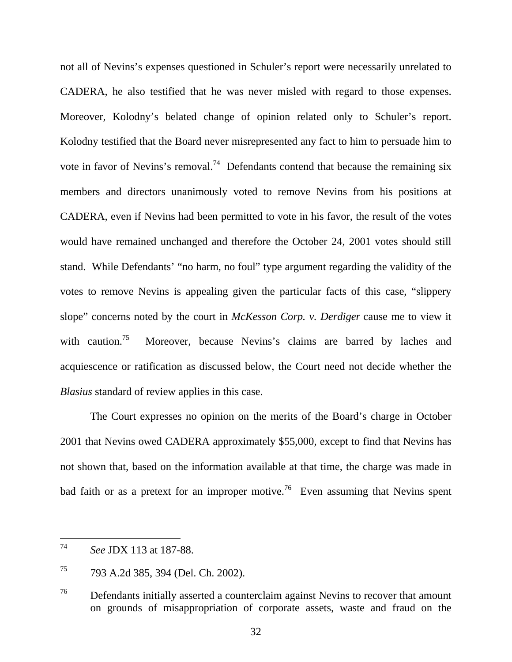not all of Nevins's expenses questioned in Schuler's report were necessarily unrelated to CADERA, he also testified that he was never misled with regard to those expenses. Moreover, Kolodny's belated change of opinion related only to Schuler's report. Kolodny testified that the Board never misrepresented any fact to him to persuade him to vote in favor of Nevins's removal.<sup>74</sup> Defendants contend that because the remaining six members and directors unanimously voted to remove Nevins from his positions at CADERA, even if Nevins had been permitted to vote in his favor, the result of the votes would have remained unchanged and therefore the October 24, 2001 votes should still stand. While Defendants' "no harm, no foul" type argument regarding the validity of the votes to remove Nevins is appealing given the particular facts of this case, "slippery slope" concerns noted by the court in *McKesson Corp. v. Derdiger* cause me to view it with caution.<sup>75</sup> Moreover, because Nevins's claims are barred by laches and acquiescence or ratification as discussed below, the Court need not decide whether the *Blasius* standard of review applies in this case.

The Court expresses no opinion on the merits of the Board's charge in October 2001 that Nevins owed CADERA approximately \$55,000, except to find that Nevins has not shown that, based on the information available at that time, the charge was made in bad faith or as a pretext for an improper motive.<sup>76</sup> Even assuming that Nevins spent

<sup>74</sup> <sup>74</sup> *See* JDX 113 at 187-88.

<sup>75 793</sup> A.2d 385, 394 (Del. Ch. 2002).

<sup>&</sup>lt;sup>76</sup> Defendants initially asserted a counterclaim against Nevins to recover that amount on grounds of misappropriation of corporate assets, waste and fraud on the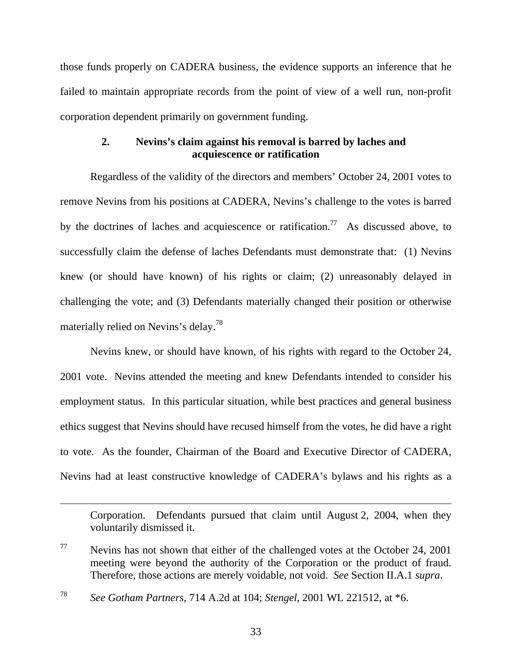those funds properly on CADERA business, the evidence supports an inference that he failed to maintain appropriate records from the point of view of a well run, non-profit corporation dependent primarily on government funding.

# **2. Nevins's claim against his removal is barred by laches and acquiescence or ratification**

Regardless of the validity of the directors and members' October 24, 2001 votes to remove Nevins from his positions at CADERA, Nevins's challenge to the votes is barred by the doctrines of laches and acquiescence or ratification.<sup>77</sup> As discussed above, to successfully claim the defense of laches Defendants must demonstrate that: (1) Nevins knew (or should have known) of his rights or claim; (2) unreasonably delayed in challenging the vote; and (3) Defendants materially changed their position or otherwise materially relied on Nevins's delay.78

Nevins knew, or should have known, of his rights with regard to the October 24, 2001 vote. Nevins attended the meeting and knew Defendants intended to consider his employment status. In this particular situation, while best practices and general business ethics suggest that Nevins should have recused himself from the votes, he did have a right to vote. As the founder, Chairman of the Board and Executive Director of CADERA, Nevins had at least constructive knowledge of CADERA's bylaws and his rights as a

Corporation. Defendants pursued that claim until August 2, 2004, when they voluntarily dismissed it.

 $\overline{a}$ 

 $77$  Nevins has not shown that either of the challenged votes at the October 24, 2001 meeting were beyond the authority of the Corporation or the product of fraud. Therefore, those actions are merely voidable, not void. *See* Section II.A.1 *supra*.

<sup>78</sup> *See Gotham Partners*, 714 A.2d at 104; *Stengel*, 2001 WL 221512, at \*6.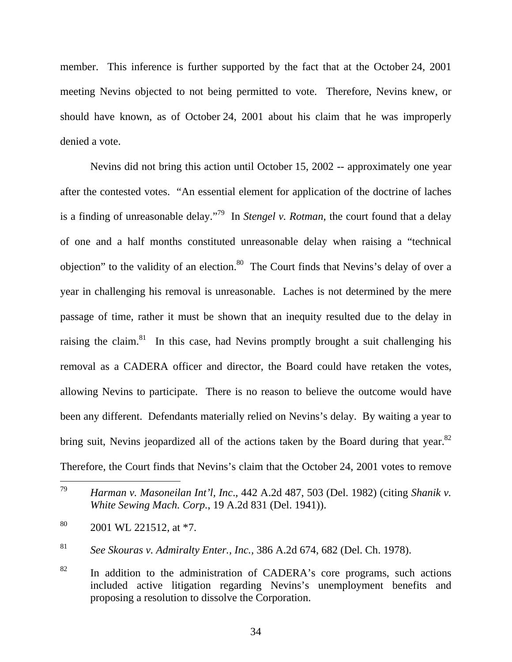member. This inference is further supported by the fact that at the October 24, 2001 meeting Nevins objected to not being permitted to vote. Therefore, Nevins knew, or should have known, as of October 24, 2001 about his claim that he was improperly denied a vote.

Nevins did not bring this action until October 15, 2002 -- approximately one year after the contested votes. "An essential element for application of the doctrine of laches is a finding of unreasonable delay."79 In *Stengel v. Rotman*, the court found that a delay of one and a half months constituted unreasonable delay when raising a "technical objection" to the validity of an election. $80$  The Court finds that Nevins's delay of over a year in challenging his removal is unreasonable. Laches is not determined by the mere passage of time, rather it must be shown that an inequity resulted due to the delay in raising the claim.<sup>81</sup> In this case, had Nevins promptly brought a suit challenging his removal as a CADERA officer and director, the Board could have retaken the votes, allowing Nevins to participate. There is no reason to believe the outcome would have been any different. Defendants materially relied on Nevins's delay. By waiting a year to bring suit, Nevins jeopardized all of the actions taken by the Board during that year.<sup>82</sup> Therefore, the Court finds that Nevins's claim that the October 24, 2001 votes to remove

<sup>81</sup> *See Skouras v. Admiralty Enter., Inc.,* 386 A.2d 674, 682 (Del. Ch. 1978).

<sup>79</sup> <sup>79</sup> *Harman v. Masoneilan Int'l, Inc*.*,* 442 A.2d 487, 503 (Del. 1982) (citing *Shanik v. White Sewing Mach. Corp.*, 19 A.2d 831 (Del. 1941)).

 $80$  2001 WL 221512, at \*7.

 $82$  In addition to the administration of CADERA's core programs, such actions included active litigation regarding Nevins's unemployment benefits and proposing a resolution to dissolve the Corporation.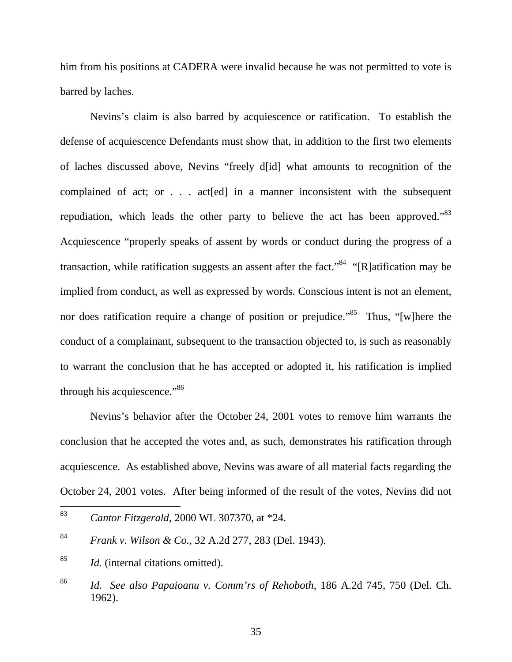him from his positions at CADERA were invalid because he was not permitted to vote is barred by laches.

Nevins's claim is also barred by acquiescence or ratification. To establish the defense of acquiescence Defendants must show that, in addition to the first two elements of laches discussed above, Nevins "freely d[id] what amounts to recognition of the complained of act; or . . . act[ed] in a manner inconsistent with the subsequent repudiation, which leads the other party to believe the act has been approved."<sup>83</sup> Acquiescence "properly speaks of assent by words or conduct during the progress of a transaction, while ratification suggests an assent after the fact.<sup>84</sup> "[R]atification may be implied from conduct, as well as expressed by words. Conscious intent is not an element, nor does ratification require a change of position or prejudice.<sup>85</sup> Thus, "[w]here the conduct of a complainant, subsequent to the transaction objected to, is such as reasonably to warrant the conclusion that he has accepted or adopted it, his ratification is implied through his acquiescence."<sup>86</sup>

Nevins's behavior after the October 24, 2001 votes to remove him warrants the conclusion that he accepted the votes and, as such, demonstrates his ratification through acquiescence. As established above, Nevins was aware of all material facts regarding the October 24, 2001 votes. After being informed of the result of the votes, Nevins did not

<sup>83</sup> <sup>83</sup> *Cantor Fitzgerald*, 2000 WL 307370, at \*24.

<sup>84</sup> *Frank v. Wilson & Co.*, 32 A.2d 277, 283 (Del. 1943).

<sup>85</sup> *Id.* (internal citations omitted).

<sup>86</sup> *Id. See also Papaioanu v. Comm'rs of Rehoboth*, 186 A.2d 745, 750 (Del. Ch. 1962).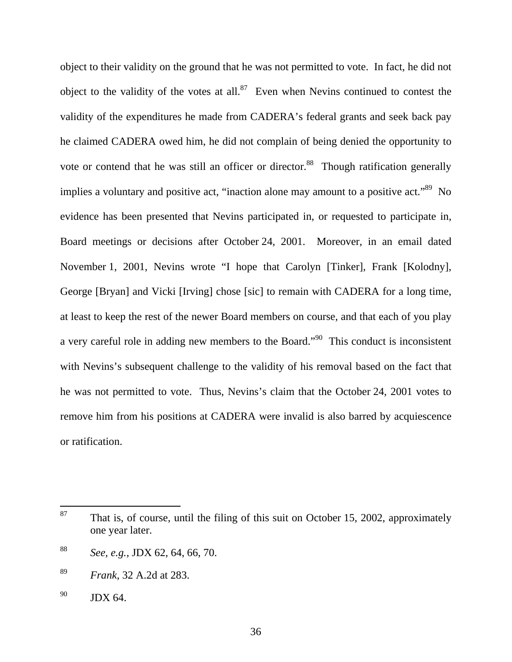object to their validity on the ground that he was not permitted to vote. In fact, he did not object to the validity of the votes at all. $87$  Even when Nevins continued to contest the validity of the expenditures he made from CADERA's federal grants and seek back pay he claimed CADERA owed him, he did not complain of being denied the opportunity to vote or contend that he was still an officer or director.<sup>88</sup> Though ratification generally implies a voluntary and positive act, "inaction alone may amount to a positive act."<sup>89</sup> No evidence has been presented that Nevins participated in, or requested to participate in, Board meetings or decisions after October 24, 2001. Moreover, in an email dated November 1, 2001, Nevins wrote "I hope that Carolyn [Tinker], Frank [Kolodny], George [Bryan] and Vicki [Irving] chose [sic] to remain with CADERA for a long time, at least to keep the rest of the newer Board members on course, and that each of you play a very careful role in adding new members to the Board."90 This conduct is inconsistent with Nevins's subsequent challenge to the validity of his removal based on the fact that he was not permitted to vote. Thus, Nevins's claim that the October 24, 2001 votes to remove him from his positions at CADERA were invalid is also barred by acquiescence or ratification.

 $87\,$ That is, of course, until the filing of this suit on October 15, 2002, approximately one year later.

<sup>88</sup> *See, e.g.,* JDX 62, 64, 66, 70.

<sup>89</sup> *Frank*, 32 A.2d at 283.

 $90$  JDX 64.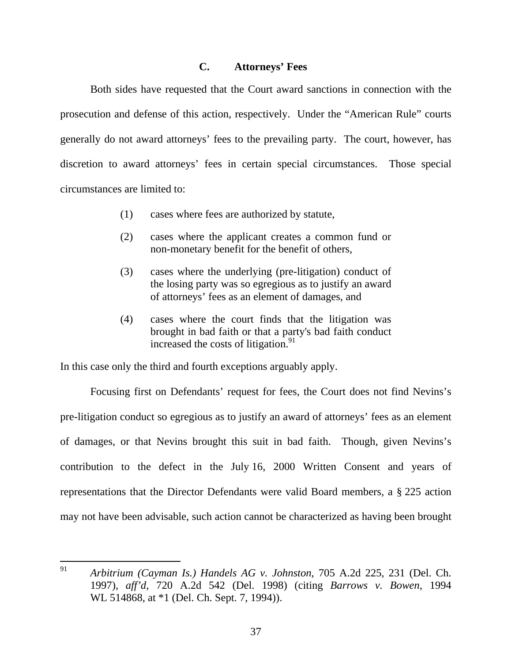### **C. Attorneys' Fees**

Both sides have requested that the Court award sanctions in connection with the prosecution and defense of this action, respectively. Under the "American Rule" courts generally do not award attorneys' fees to the prevailing party. The court, however, has discretion to award attorneys' fees in certain special circumstances. Those special circumstances are limited to:

- (1) cases where fees are authorized by statute,
- (2) cases where the applicant creates a common fund or non-monetary benefit for the benefit of others,
- (3) cases where the underlying (pre-litigation) conduct of the losing party was so egregious as to justify an award of attorneys' fees as an element of damages, and
- (4) cases where the court finds that the litigation was brought in bad faith or that a party's bad faith conduct increased the costs of litigation. $91$

In this case only the third and fourth exceptions arguably apply.

Focusing first on Defendants' request for fees, the Court does not find Nevins's pre-litigation conduct so egregious as to justify an award of attorneys' fees as an element of damages, or that Nevins brought this suit in bad faith. Though, given Nevins's contribution to the defect in the July 16, 2000 Written Consent and years of representations that the Director Defendants were valid Board members, a § 225 action may not have been advisable, such action cannot be characterized as having been brought

<sup>91</sup> <sup>91</sup> *Arbitrium (Cayman Is.) Handels AG v. Johnston*, 705 A.2d 225, 231 (Del. Ch. 1997), *aff'd*, 720 A.2d 542 (Del. 1998) (citing *Barrows v. Bowen*, 1994 WL 514868, at  $*1$  (Del. Ch. Sept. 7, 1994)).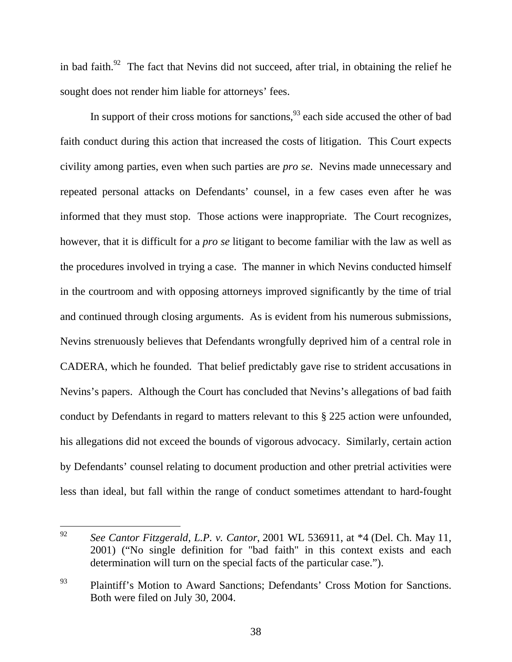in bad faith.<sup>92</sup> The fact that Nevins did not succeed, after trial, in obtaining the relief he sought does not render him liable for attorneys' fees.

In support of their cross motions for sanctions,  $^{93}$  each side accused the other of bad faith conduct during this action that increased the costs of litigation. This Court expects civility among parties, even when such parties are *pro se*. Nevins made unnecessary and repeated personal attacks on Defendants' counsel, in a few cases even after he was informed that they must stop. Those actions were inappropriate. The Court recognizes, however, that it is difficult for a *pro se* litigant to become familiar with the law as well as the procedures involved in trying a case. The manner in which Nevins conducted himself in the courtroom and with opposing attorneys improved significantly by the time of trial and continued through closing arguments. As is evident from his numerous submissions, Nevins strenuously believes that Defendants wrongfully deprived him of a central role in CADERA, which he founded. That belief predictably gave rise to strident accusations in Nevins's papers. Although the Court has concluded that Nevins's allegations of bad faith conduct by Defendants in regard to matters relevant to this § 225 action were unfounded, his allegations did not exceed the bounds of vigorous advocacy. Similarly, certain action by Defendants' counsel relating to document production and other pretrial activities were less than ideal, but fall within the range of conduct sometimes attendant to hard-fought

<sup>92</sup> <sup>92</sup> *See Cantor Fitzgerald, L.P. v. Cantor*, 2001 WL 536911, at \*4 (Del. Ch. May 11, 2001) ("No single definition for "bad faith" in this context exists and each determination will turn on the special facts of the particular case.").

<sup>&</sup>lt;sup>93</sup> Plaintiff's Motion to Award Sanctions; Defendants' Cross Motion for Sanctions. Both were filed on July 30, 2004.